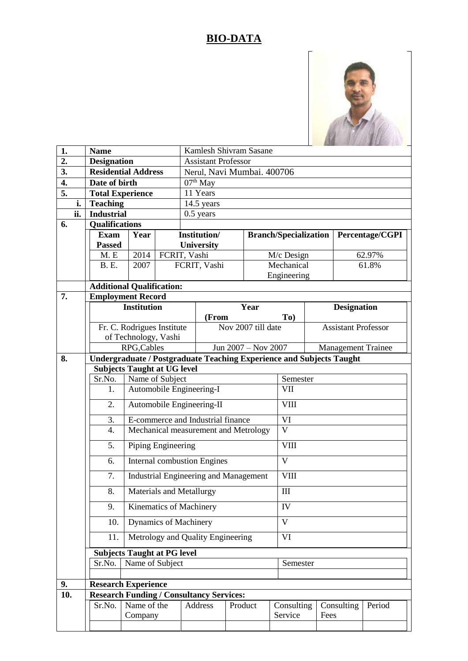## **BIO-DATA**



| 1.                |     | <b>Name</b>                              |                                                                                                            |  | Kamlesh Shivram Sasane                              |            |                    |                              |                            |        |                    |  |  |
|-------------------|-----|------------------------------------------|------------------------------------------------------------------------------------------------------------|--|-----------------------------------------------------|------------|--------------------|------------------------------|----------------------------|--------|--------------------|--|--|
| $\overline{2}$ .  |     | <b>Designation</b>                       |                                                                                                            |  | <b>Assistant Professor</b>                          |            |                    |                              |                            |        |                    |  |  |
| 3.                |     | <b>Residential Address</b>               |                                                                                                            |  | Nerul, Navi Mumbai. 400706                          |            |                    |                              |                            |        |                    |  |  |
| 4.                |     | Date of birth                            |                                                                                                            |  | $07th$ May                                          |            |                    |                              |                            |        |                    |  |  |
| 5.                |     | <b>Total Experience</b>                  |                                                                                                            |  | 11 Years                                            |            |                    |                              |                            |        |                    |  |  |
|                   | i.  | <b>Teaching</b>                          |                                                                                                            |  | 14.5 years                                          |            |                    |                              |                            |        |                    |  |  |
|                   | ii. | <b>Industrial</b>                        |                                                                                                            |  | $0.5$ years                                         |            |                    |                              |                            |        |                    |  |  |
| 6.                |     | <b>Qualifications</b>                    |                                                                                                            |  |                                                     |            |                    |                              |                            |        |                    |  |  |
|                   |     | Year<br><b>Exam</b>                      |                                                                                                            |  | <b>Institution/</b>                                 |            |                    | <b>Branch/Specialization</b> |                            |        | Percentage/CGPI    |  |  |
|                   |     | <b>Passed</b>                            |                                                                                                            |  |                                                     | University |                    |                              |                            |        |                    |  |  |
|                   |     | M.E                                      | 2014                                                                                                       |  | FCRIT, Vashi                                        |            | M/c Design         |                              |                            | 62.97% |                    |  |  |
|                   |     | <b>B.</b> E.                             | 2007                                                                                                       |  | FCRIT, Vashi                                        |            |                    | Mechanical                   |                            |        | 61.8%              |  |  |
|                   |     |                                          |                                                                                                            |  |                                                     |            |                    | Engineering                  |                            |        |                    |  |  |
|                   |     | <b>Additional Qualification:</b>         |                                                                                                            |  |                                                     |            |                    |                              |                            |        |                    |  |  |
| 7.                |     | <b>Employment Record</b>                 |                                                                                                            |  |                                                     |            |                    |                              |                            |        |                    |  |  |
|                   |     | <b>Institution</b>                       |                                                                                                            |  | Year                                                |            |                    |                              |                            |        | <b>Designation</b> |  |  |
|                   |     |                                          |                                                                                                            |  | (From                                               |            | Nov 2007 till date | To)                          | <b>Assistant Professor</b> |        |                    |  |  |
|                   |     |                                          | Fr. C. Rodrigues Institute                                                                                 |  |                                                     |            |                    |                              |                            |        |                    |  |  |
|                   |     |                                          | of Technology, Vashi                                                                                       |  |                                                     |            |                    |                              |                            |        |                    |  |  |
| 8.                |     |                                          | RPG, Cables<br>Jun 2007 - Nov 2007<br><b>Management Trainee</b>                                            |  |                                                     |            |                    |                              |                            |        |                    |  |  |
|                   |     |                                          | Undergraduate / Postgraduate Teaching Experience and Subjects Taught<br><b>Subjects Taught at UG level</b> |  |                                                     |            |                    |                              |                            |        |                    |  |  |
|                   |     | Sr.No.<br>Name of Subject                |                                                                                                            |  |                                                     |            |                    |                              | Semester                   |        |                    |  |  |
|                   |     | 1.                                       |                                                                                                            |  | Automobile Engineering-I                            |            |                    |                              | VII                        |        |                    |  |  |
|                   |     |                                          |                                                                                                            |  |                                                     |            |                    |                              | <b>VIII</b>                |        |                    |  |  |
|                   |     | 2.<br>Automobile Engineering-II          |                                                                                                            |  |                                                     |            |                    |                              |                            |        |                    |  |  |
|                   |     | 3.                                       |                                                                                                            |  | E-commerce and Industrial finance                   |            |                    | VI                           |                            |        |                    |  |  |
|                   |     | 4.                                       |                                                                                                            |  | Mechanical measurement and Metrology                |            |                    |                              | $\overline{\rm v}$         |        |                    |  |  |
|                   |     | 5.<br>Piping Engineering                 |                                                                                                            |  |                                                     |            |                    | <b>VIII</b>                  |                            |        |                    |  |  |
|                   |     | <b>Internal combustion Engines</b><br>6. |                                                                                                            |  |                                                     |            |                    | $\overline{\mathsf{V}}$      |                            |        |                    |  |  |
|                   |     | 7.                                       |                                                                                                            |  | <b>Industrial Engineering and Management</b>        |            |                    | <b>VIII</b>                  |                            |        |                    |  |  |
|                   |     | 8.                                       |                                                                                                            |  | Materials and Metallurgy<br>Kinematics of Machinery |            |                    | $\mathop{\rm III}\nolimits$  |                            |        |                    |  |  |
|                   |     | 9.                                       |                                                                                                            |  |                                                     |            |                    | IV                           |                            |        |                    |  |  |
|                   |     | Dynamics of Machinery<br>10.             |                                                                                                            |  |                                                     |            |                    | $\mathbf{V}$                 |                            |        |                    |  |  |
|                   |     | 11.                                      |                                                                                                            |  | Metrology and Quality Engineering                   |            |                    | VI                           |                            |        |                    |  |  |
|                   |     | <b>Subjects Taught at PG level</b>       |                                                                                                            |  |                                                     |            |                    |                              |                            |        |                    |  |  |
|                   |     | Sr.No.                                   | Name of Subject                                                                                            |  |                                                     |            |                    |                              | Semester                   |        |                    |  |  |
|                   |     |                                          |                                                                                                            |  |                                                     |            |                    |                              |                            |        |                    |  |  |
| 9.                |     | <b>Research Experience</b>               |                                                                                                            |  |                                                     |            |                    |                              |                            |        |                    |  |  |
| $\overline{10}$ . |     |                                          | <b>Research Funding / Consultancy Services:</b>                                                            |  |                                                     |            |                    |                              |                            |        |                    |  |  |
|                   |     | Sr.No.                                   | Name of the                                                                                                |  | Address                                             |            | Product            | Consulting<br>Consulting     |                            | Period |                    |  |  |
|                   |     |                                          | Company                                                                                                    |  |                                                     |            |                    | Service<br>Fees              |                            |        |                    |  |  |
|                   |     |                                          |                                                                                                            |  |                                                     |            |                    |                              |                            |        |                    |  |  |